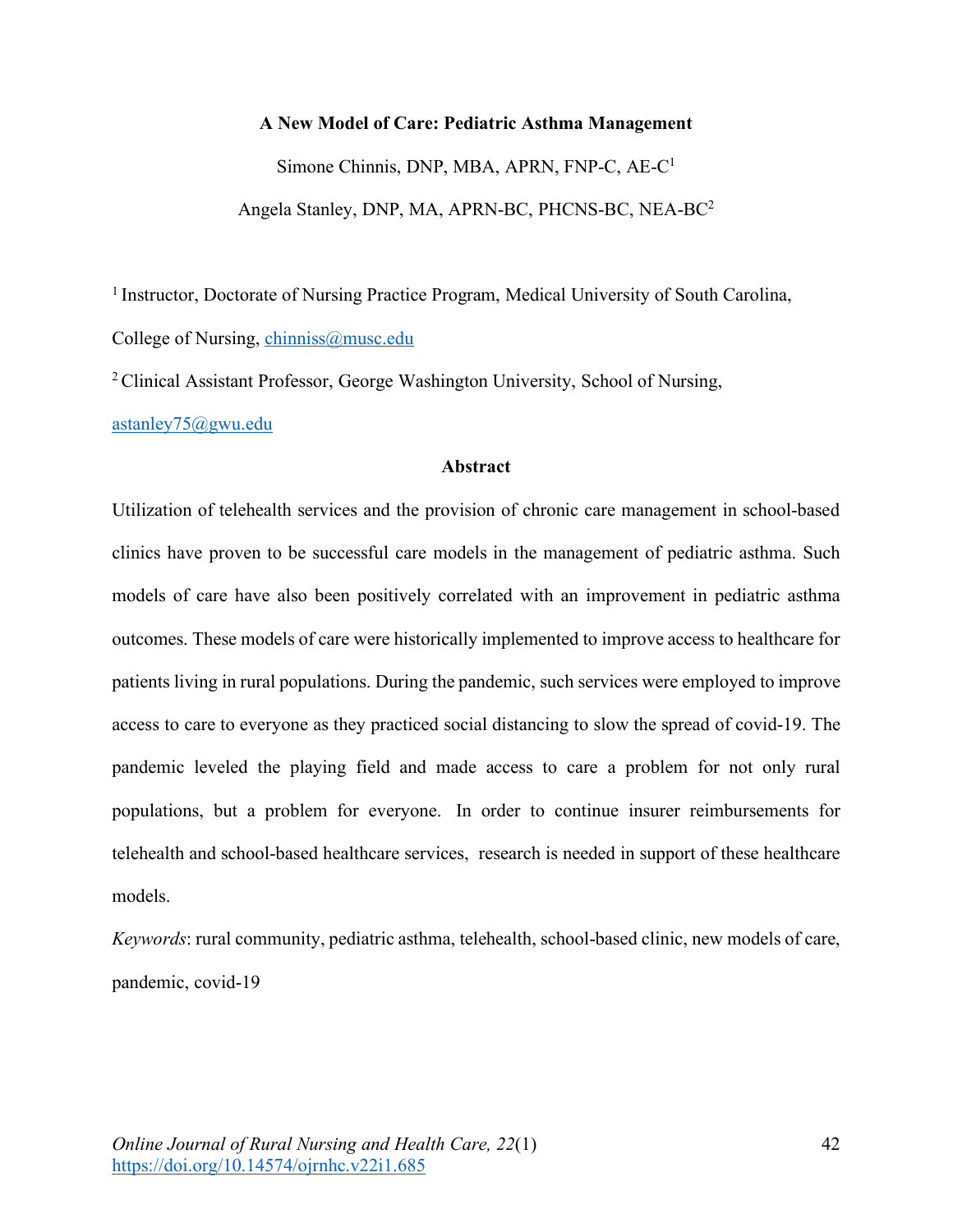# **A New Model of Care: Pediatric Asthma Management**

Simone Chinnis, DNP, MBA, APRN, FNP-C, AE-C1 Angela Stanley, DNP, MA, APRN-BC, PHCNS-BC, NEA-BC2

<sup>1</sup> Instructor, Doctorate of Nursing Practice Program, Medical University of South Carolina, College of Nursing, chinniss@musc.edu

2 Clinical Assistant Professor, George Washington University, School of Nursing,

astanley75@gwu.edu

# **Abstract**

Utilization of telehealth services and the provision of chronic care management in school-based clinics have proven to be successful care models in the management of pediatric asthma. Such models of care have also been positively correlated with an improvement in pediatric asthma outcomes. These models of care were historically implemented to improve access to healthcare for patients living in rural populations. During the pandemic, such services were employed to improve access to care to everyone as they practiced social distancing to slow the spread of covid-19. The pandemic leveled the playing field and made access to care a problem for not only rural populations, but a problem for everyone. In order to continue insurer reimbursements for telehealth and school-based healthcare services, research is needed in support of these healthcare models.

*Keywords*: rural community, pediatric asthma, telehealth, school-based clinic, new models of care, pandemic, covid-19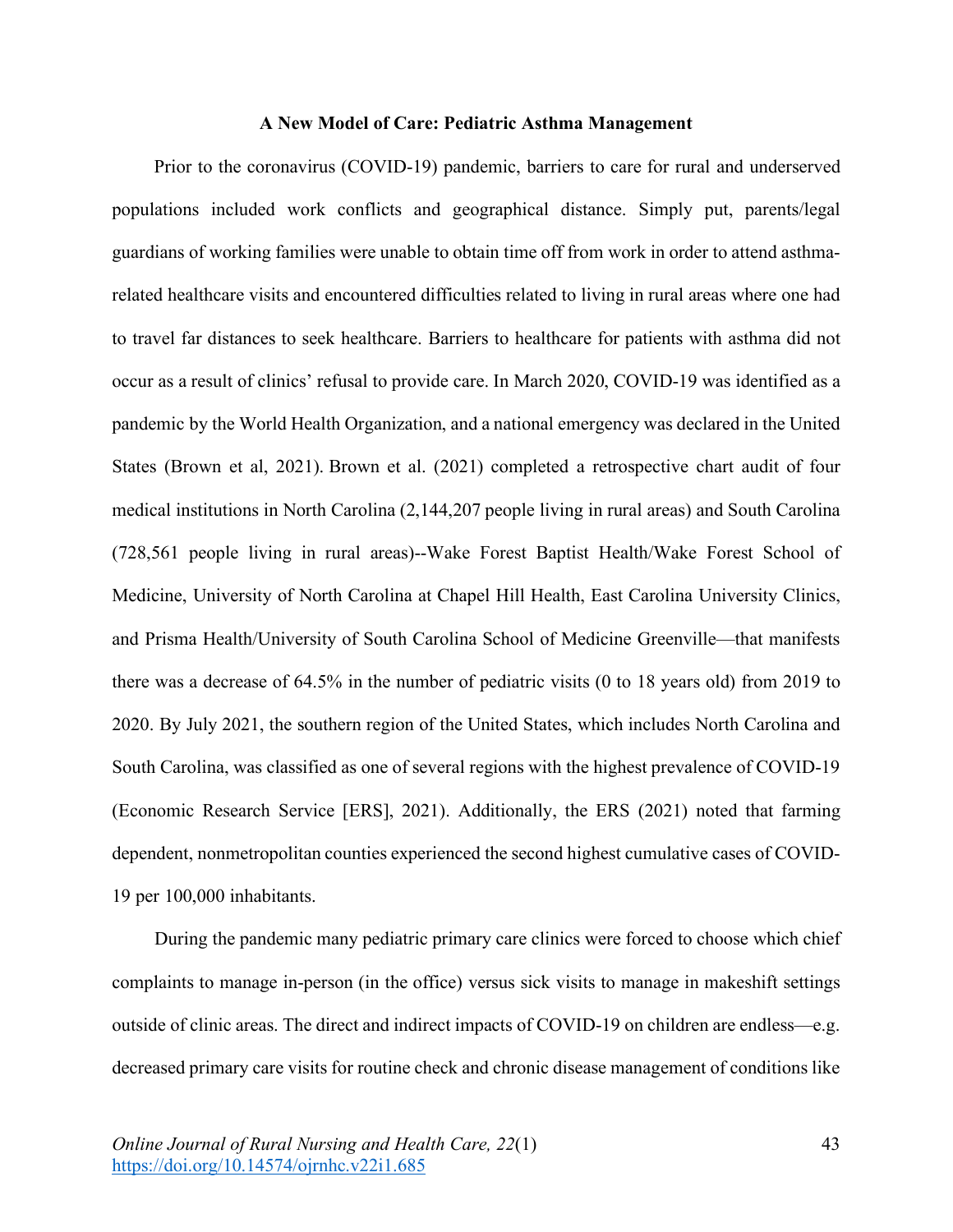# **A New Model of Care: Pediatric Asthma Management**

Prior to the coronavirus (COVID-19) pandemic, barriers to care for rural and underserved populations included work conflicts and geographical distance. Simply put, parents/legal guardians of working families were unable to obtain time off from work in order to attend asthmarelated healthcare visits and encountered difficulties related to living in rural areas where one had to travel far distances to seek healthcare. Barriers to healthcare for patients with asthma did not occur as a result of clinics' refusal to provide care. In March 2020, COVID-19 was identified as a pandemic by the World Health Organization, and a national emergency was declared in the United States (Brown et al, 2021). Brown et al. (2021) completed a retrospective chart audit of four medical institutions in North Carolina (2,144,207 people living in rural areas) and South Carolina (728,561 people living in rural areas)--Wake Forest Baptist Health/Wake Forest School of Medicine, University of North Carolina at Chapel Hill Health, East Carolina University Clinics, and Prisma Health/University of South Carolina School of Medicine Greenville—that manifests there was a decrease of 64.5% in the number of pediatric visits (0 to 18 years old) from 2019 to 2020. By July 2021, the southern region of the United States, which includes North Carolina and South Carolina, was classified as one of several regions with the highest prevalence of COVID-19 (Economic Research Service [ERS], 2021). Additionally, the ERS (2021) noted that farming dependent, nonmetropolitan counties experienced the second highest cumulative cases of COVID-19 per 100,000 inhabitants.

During the pandemic many pediatric primary care clinics were forced to choose which chief complaints to manage in-person (in the office) versus sick visits to manage in makeshift settings outside of clinic areas. The direct and indirect impacts of COVID-19 on children are endless—e.g. decreased primary care visits for routine check and chronic disease management of conditions like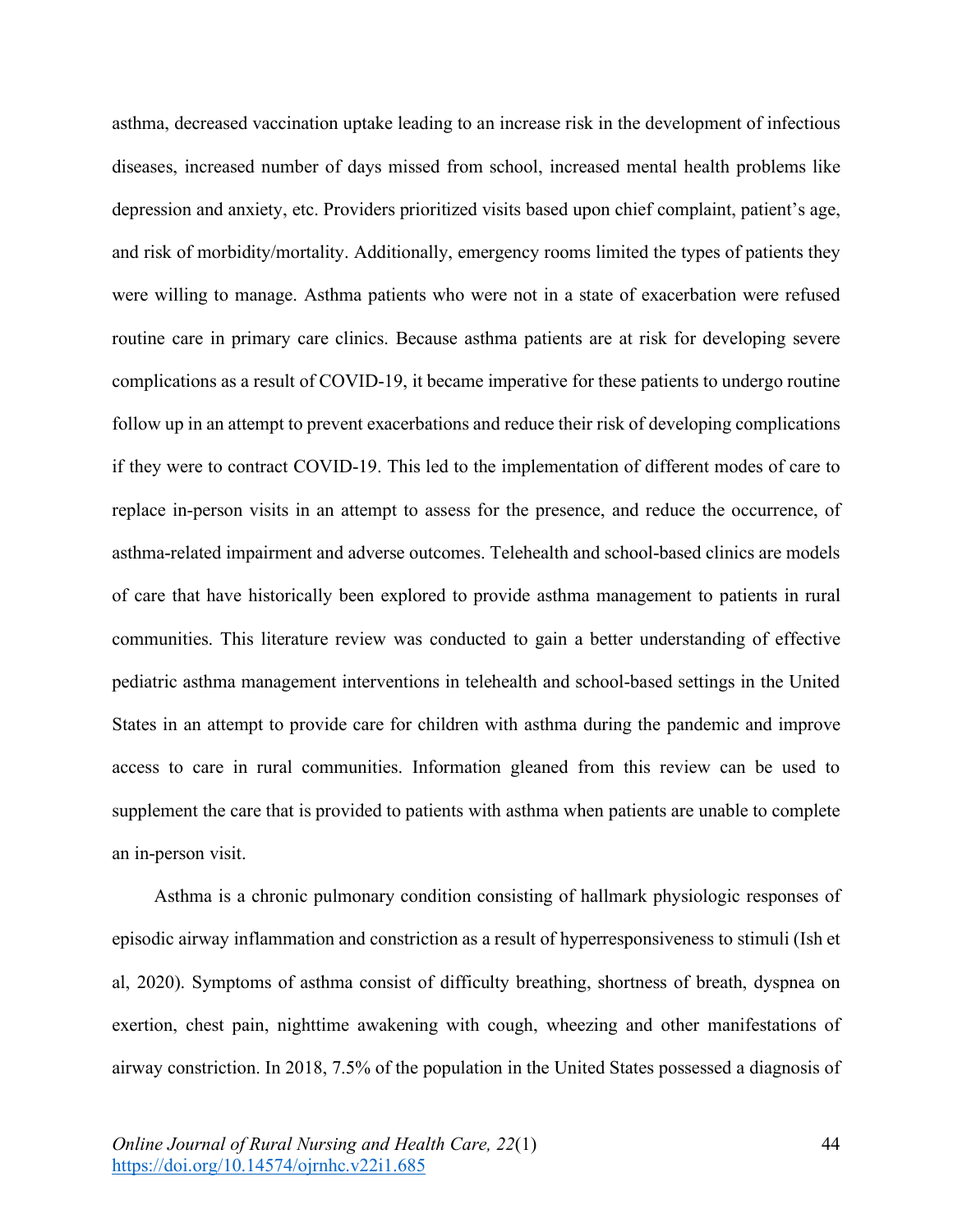asthma, decreased vaccination uptake leading to an increase risk in the development of infectious diseases, increased number of days missed from school, increased mental health problems like depression and anxiety, etc. Providers prioritized visits based upon chief complaint, patient's age, and risk of morbidity/mortality. Additionally, emergency rooms limited the types of patients they were willing to manage. Asthma patients who were not in a state of exacerbation were refused routine care in primary care clinics. Because asthma patients are at risk for developing severe complications as a result of COVID-19, it became imperative for these patients to undergo routine follow up in an attempt to prevent exacerbations and reduce their risk of developing complications if they were to contract COVID-19. This led to the implementation of different modes of care to replace in-person visits in an attempt to assess for the presence, and reduce the occurrence, of asthma-related impairment and adverse outcomes. Telehealth and school-based clinics are models of care that have historically been explored to provide asthma management to patients in rural communities. This literature review was conducted to gain a better understanding of effective pediatric asthma management interventions in telehealth and school-based settings in the United States in an attempt to provide care for children with asthma during the pandemic and improve access to care in rural communities. Information gleaned from this review can be used to supplement the care that is provided to patients with asthma when patients are unable to complete an in-person visit.

Asthma is a chronic pulmonary condition consisting of hallmark physiologic responses of episodic airway inflammation and constriction as a result of hyperresponsiveness to stimuli (Ish et al, 2020). Symptoms of asthma consist of difficulty breathing, shortness of breath, dyspnea on exertion, chest pain, nighttime awakening with cough, wheezing and other manifestations of airway constriction. In 2018, 7.5% of the population in the United States possessed a diagnosis of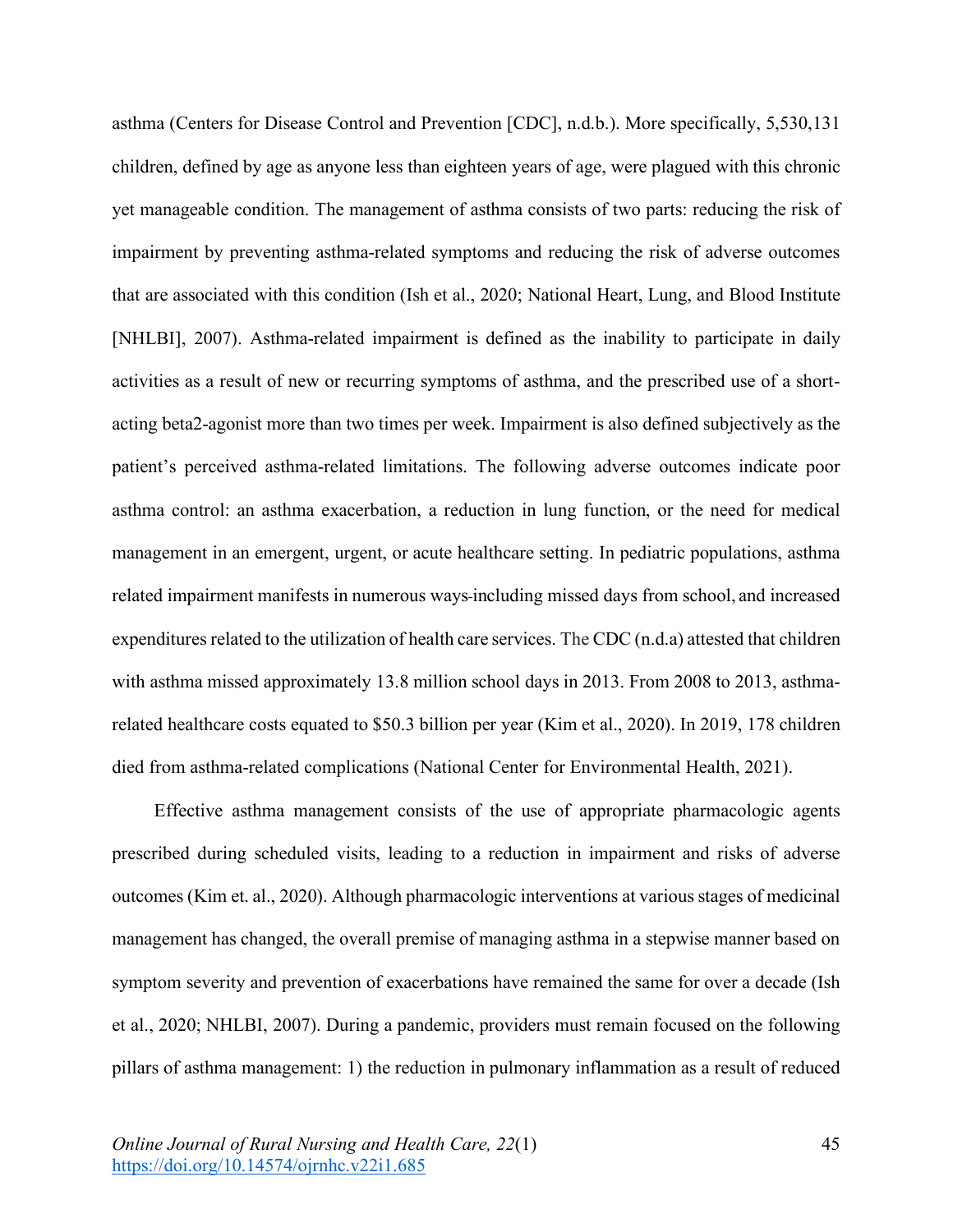asthma (Centers for Disease Control and Prevention [CDC], n.d.b.). More specifically, 5,530,131 children, defined by age as anyone less than eighteen years of age, were plagued with this chronic yet manageable condition. The management of asthma consists of two parts: reducing the risk of impairment by preventing asthma-related symptoms and reducing the risk of adverse outcomes that are associated with this condition (Ish et al., 2020; National Heart, Lung, and Blood Institute [NHLBI], 2007). Asthma-related impairment is defined as the inability to participate in daily activities as a result of new or recurring symptoms of asthma, and the prescribed use of a shortacting beta2-agonist more than two times per week. Impairment is also defined subjectively as the patient's perceived asthma-related limitations. The following adverse outcomes indicate poor asthma control: an asthma exacerbation, a reduction in lung function, or the need for medical management in an emergent, urgent, or acute healthcare setting. In pediatric populations, asthma related impairment manifests in numerous ways including missed days from school, and increased expenditures related to the utilization of health care services. The CDC (n.d.a) attested that children with asthma missed approximately 13.8 million school days in 2013. From 2008 to 2013, asthmarelated healthcare costs equated to \$50.3 billion per year (Kim et al., 2020). In 2019, 178 children died from asthma-related complications (National Center for Environmental Health, 2021).

Effective asthma management consists of the use of appropriate pharmacologic agents prescribed during scheduled visits, leading to a reduction in impairment and risks of adverse outcomes (Kim et. al., 2020). Although pharmacologic interventions at various stages of medicinal management has changed, the overall premise of managing asthma in a stepwise manner based on symptom severity and prevention of exacerbations have remained the same for over a decade (Ish et al., 2020; NHLBI, 2007). During a pandemic, providers must remain focused on the following pillars of asthma management: 1) the reduction in pulmonary inflammation as a result of reduced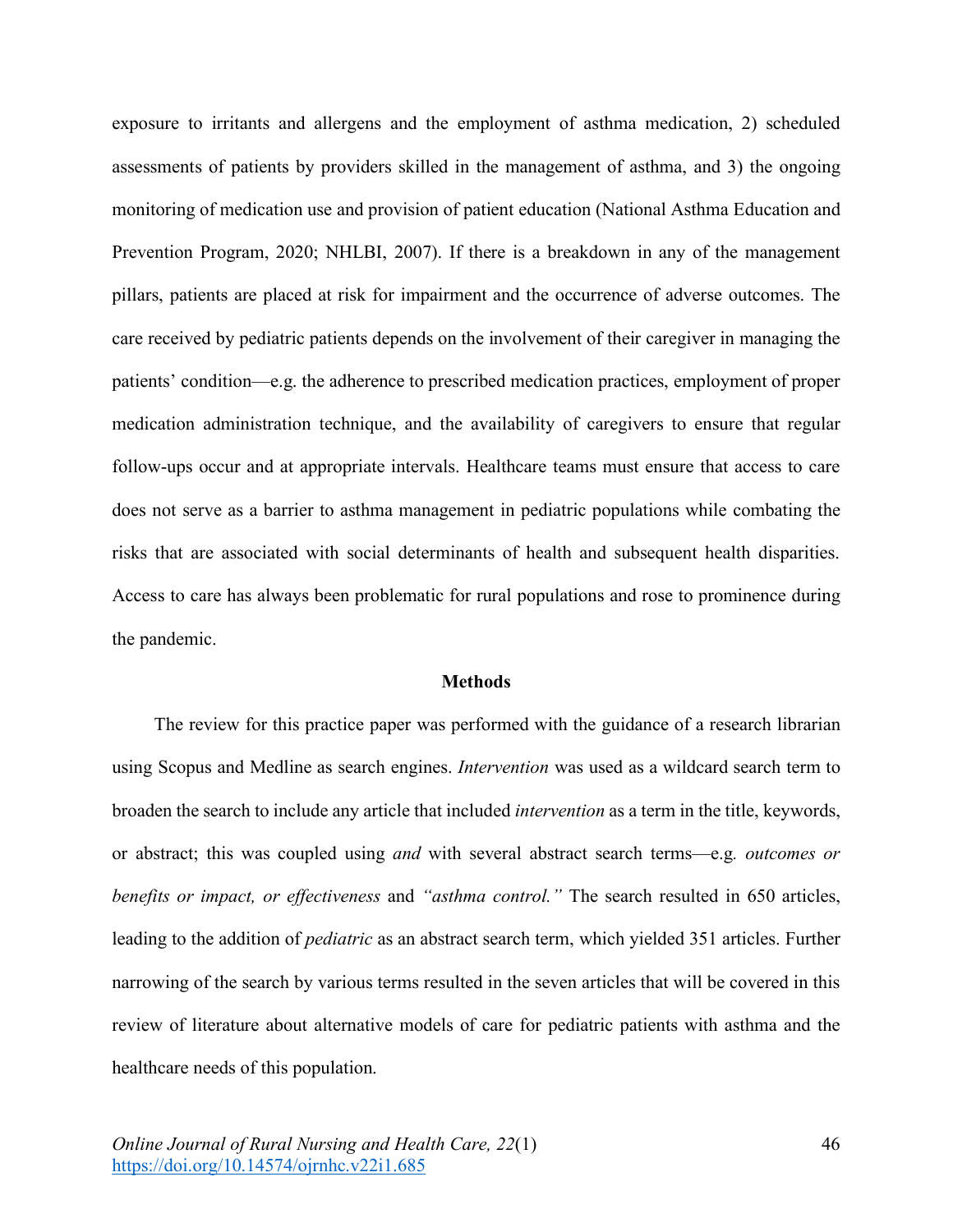exposure to irritants and allergens and the employment of asthma medication, 2) scheduled assessments of patients by providers skilled in the management of asthma, and 3) the ongoing monitoring of medication use and provision of patient education (National Asthma Education and Prevention Program, 2020; NHLBI, 2007). If there is a breakdown in any of the management pillars, patients are placed at risk for impairment and the occurrence of adverse outcomes. The care received by pediatric patients depends on the involvement of their caregiver in managing the patients' condition—e.g. the adherence to prescribed medication practices, employment of proper medication administration technique, and the availability of caregivers to ensure that regular follow-ups occur and at appropriate intervals. Healthcare teams must ensure that access to care does not serve as a barrier to asthma management in pediatric populations while combating the risks that are associated with social determinants of health and subsequent health disparities. Access to care has always been problematic for rural populations and rose to prominence during the pandemic.

#### **Methods**

The review for this practice paper was performed with the guidance of a research librarian using Scopus and Medline as search engines. *Intervention* was used as a wildcard search term to broaden the search to include any article that included *intervention* as a term in the title, keywords, or abstract; this was coupled using *and* with several abstract search terms—e.g*. outcomes or benefits or impact, or effectiveness* and *"asthma control."* The search resulted in 650 articles, leading to the addition of *pediatric* as an abstract search term, which yielded 351 articles. Further narrowing of the search by various terms resulted in the seven articles that will be covered in this review of literature about alternative models of care for pediatric patients with asthma and the healthcare needs of this population.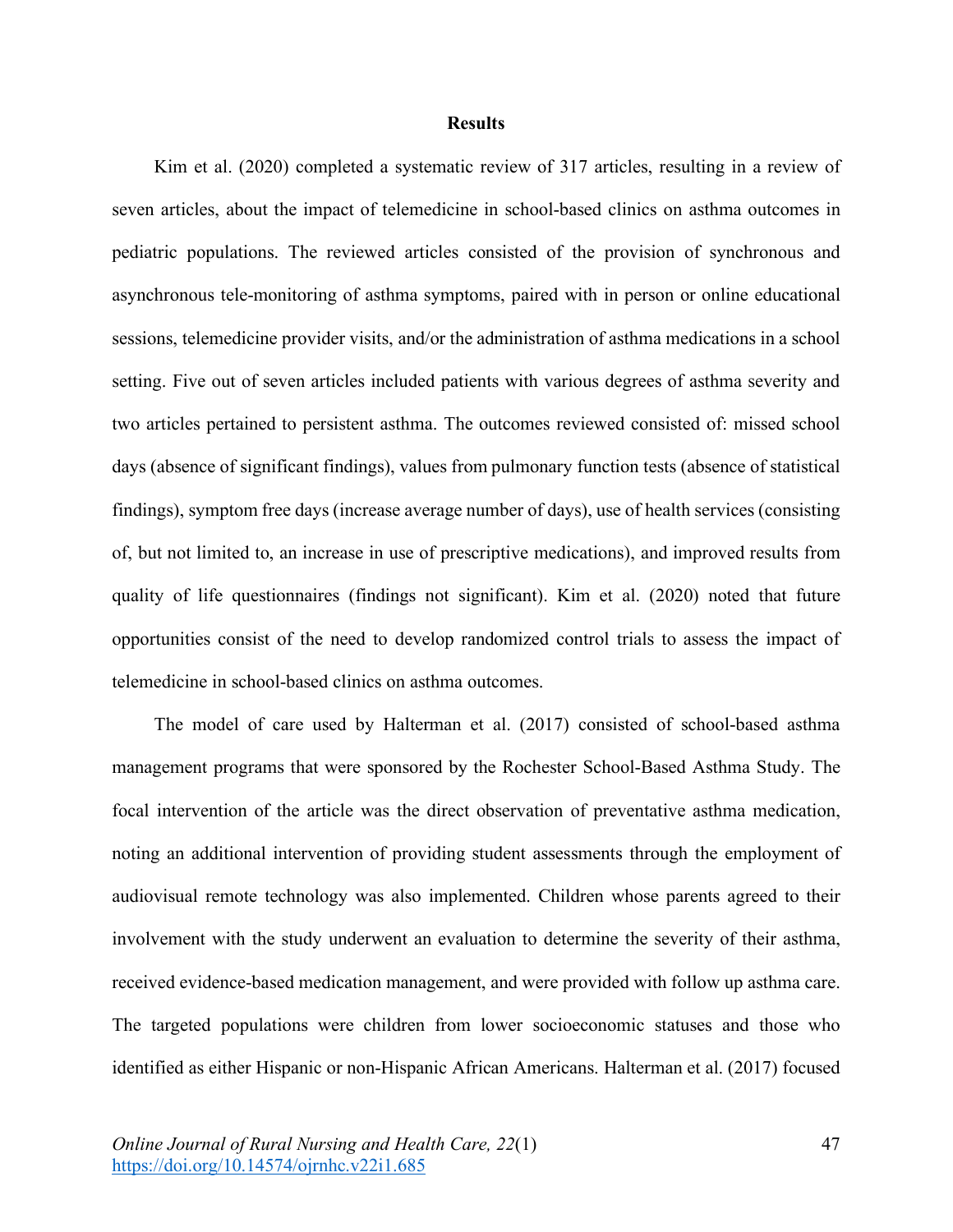# **Results**

Kim et al. (2020) completed a systematic review of 317 articles, resulting in a review of seven articles, about the impact of telemedicine in school-based clinics on asthma outcomes in pediatric populations. The reviewed articles consisted of the provision of synchronous and asynchronous tele-monitoring of asthma symptoms, paired with in person or online educational sessions, telemedicine provider visits, and/or the administration of asthma medications in a school setting. Five out of seven articles included patients with various degrees of asthma severity and two articles pertained to persistent asthma. The outcomes reviewed consisted of: missed school days (absence of significant findings), values from pulmonary function tests (absence of statistical findings), symptom free days (increase average number of days), use of health services (consisting of, but not limited to, an increase in use of prescriptive medications), and improved results from quality of life questionnaires (findings not significant). Kim et al. (2020) noted that future opportunities consist of the need to develop randomized control trials to assess the impact of telemedicine in school-based clinics on asthma outcomes.

The model of care used by Halterman et al. (2017) consisted of school-based asthma management programs that were sponsored by the Rochester School-Based Asthma Study. The focal intervention of the article was the direct observation of preventative asthma medication, noting an additional intervention of providing student assessments through the employment of audiovisual remote technology was also implemented. Children whose parents agreed to their involvement with the study underwent an evaluation to determine the severity of their asthma, received evidence-based medication management, and were provided with follow up asthma care. The targeted populations were children from lower socioeconomic statuses and those who identified as either Hispanic or non-Hispanic African Americans. Halterman et al. (2017) focused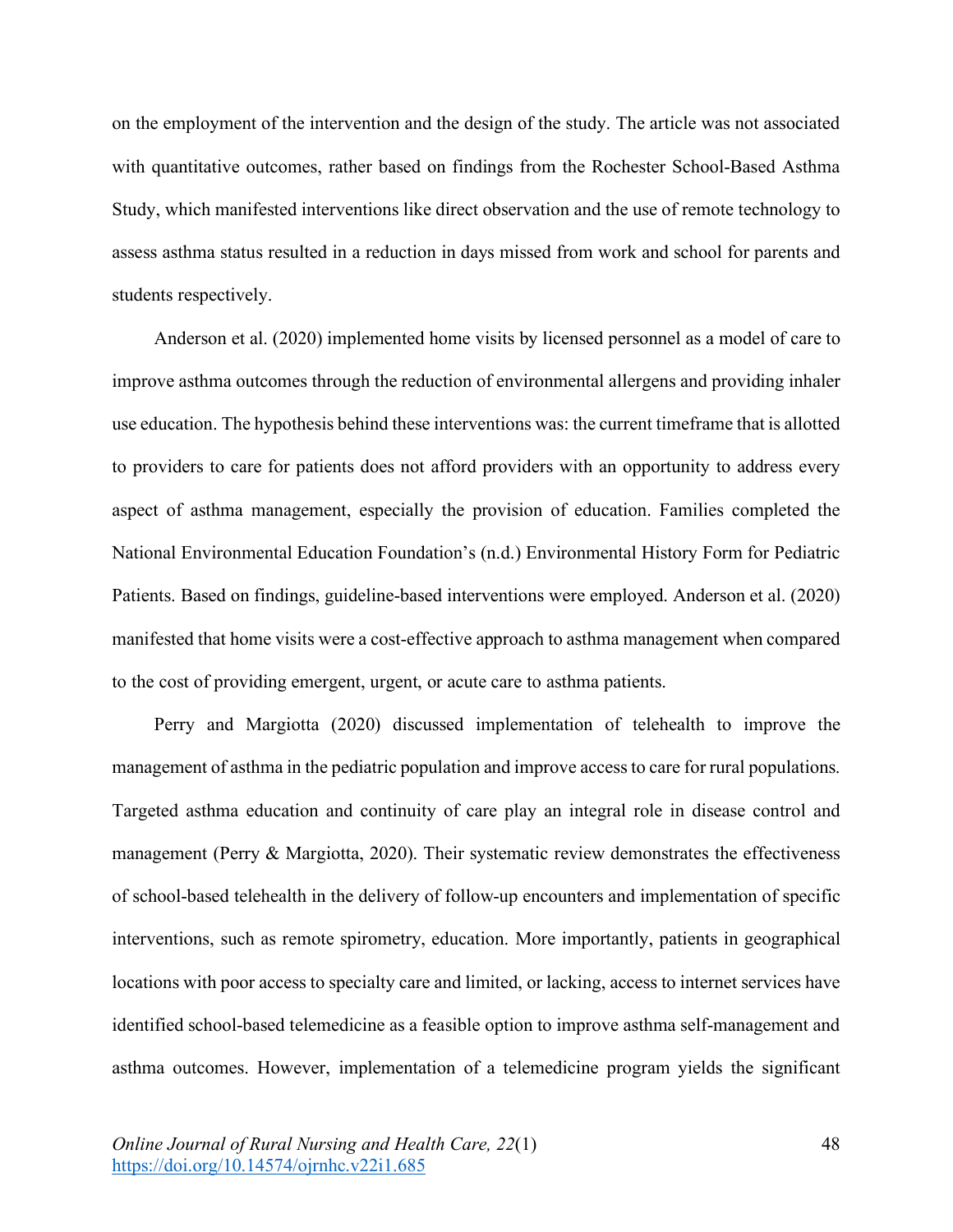on the employment of the intervention and the design of the study. The article was not associated with quantitative outcomes, rather based on findings from the Rochester School-Based Asthma Study, which manifested interventions like direct observation and the use of remote technology to assess asthma status resulted in a reduction in days missed from work and school for parents and students respectively.

Anderson et al. (2020) implemented home visits by licensed personnel as a model of care to improve asthma outcomes through the reduction of environmental allergens and providing inhaler use education. The hypothesis behind these interventions was: the current timeframe that is allotted to providers to care for patients does not afford providers with an opportunity to address every aspect of asthma management, especially the provision of education. Families completed the National Environmental Education Foundation's (n.d.) Environmental History Form for Pediatric Patients. Based on findings, guideline-based interventions were employed. Anderson et al. (2020) manifested that home visits were a cost-effective approach to asthma management when compared to the cost of providing emergent, urgent, or acute care to asthma patients.

Perry and Margiotta (2020) discussed implementation of telehealth to improve the management of asthma in the pediatric population and improve access to care for rural populations. Targeted asthma education and continuity of care play an integral role in disease control and management (Perry & Margiotta, 2020). Their systematic review demonstrates the effectiveness of school-based telehealth in the delivery of follow-up encounters and implementation of specific interventions, such as remote spirometry, education. More importantly, patients in geographical locations with poor access to specialty care and limited, or lacking, access to internet services have identified school-based telemedicine as a feasible option to improve asthma self-management and asthma outcomes. However, implementation of a telemedicine program yields the significant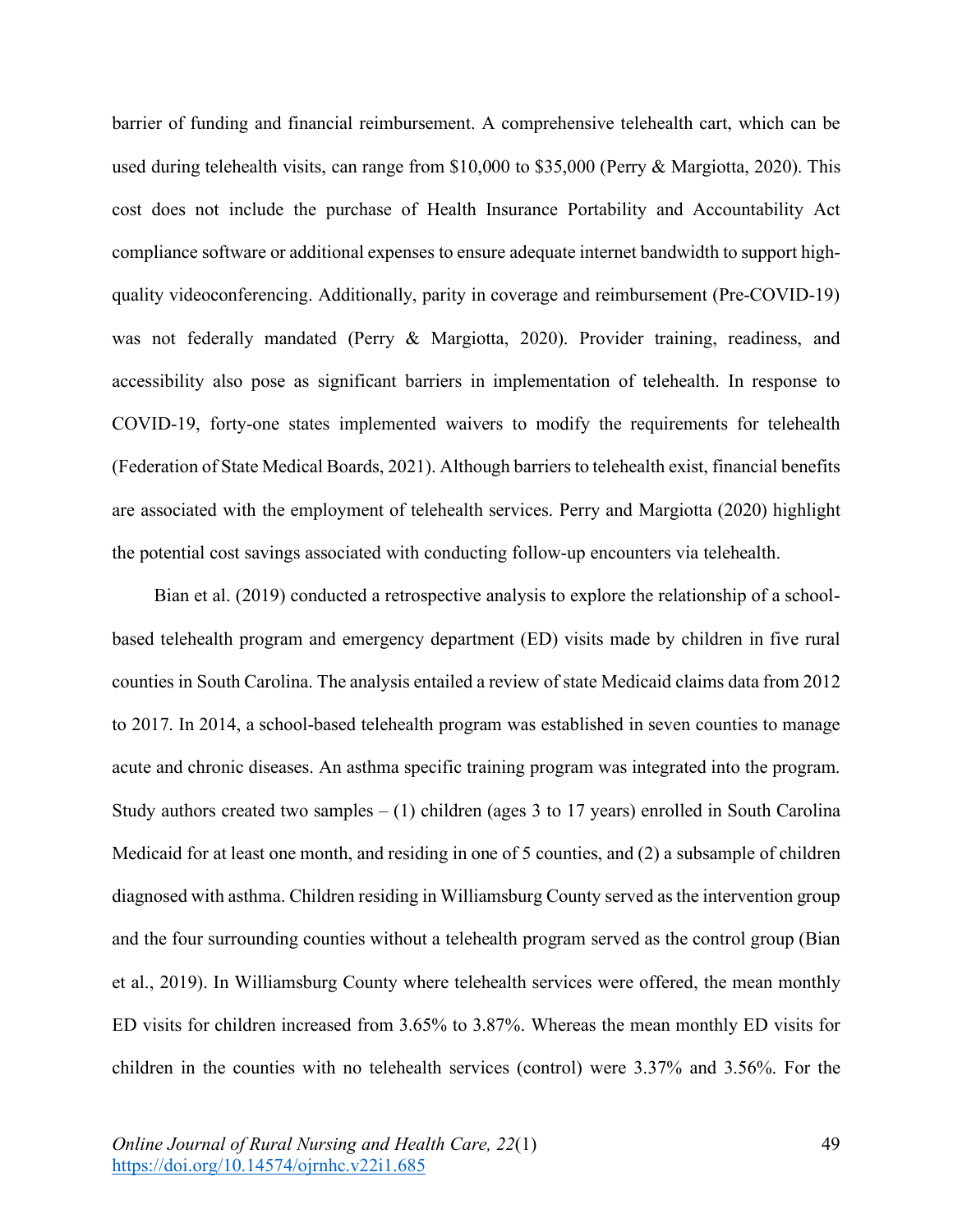barrier of funding and financial reimbursement. A comprehensive telehealth cart, which can be used during telehealth visits, can range from \$10,000 to \$35,000 (Perry & Margiotta, 2020). This cost does not include the purchase of Health Insurance Portability and Accountability Act compliance software or additional expenses to ensure adequate internet bandwidth to support highquality videoconferencing. Additionally, parity in coverage and reimbursement (Pre-COVID-19) was not federally mandated (Perry & Margiotta, 2020). Provider training, readiness, and accessibility also pose as significant barriers in implementation of telehealth. In response to COVID-19, forty-one states implemented waivers to modify the requirements for telehealth (Federation of State Medical Boards, 2021). Although barriers to telehealth exist, financial benefits are associated with the employment of telehealth services. Perry and Margiotta (2020) highlight the potential cost savings associated with conducting follow-up encounters via telehealth.

Bian et al. (2019) conducted a retrospective analysis to explore the relationship of a schoolbased telehealth program and emergency department (ED) visits made by children in five rural counties in South Carolina. The analysis entailed a review of state Medicaid claims data from 2012 to 2017. In 2014, a school-based telehealth program was established in seven counties to manage acute and chronic diseases. An asthma specific training program was integrated into the program. Study authors created two samples  $- (1)$  children (ages 3 to 17 years) enrolled in South Carolina Medicaid for at least one month, and residing in one of 5 counties, and (2) a subsample of children diagnosed with asthma. Children residing in Williamsburg County served as the intervention group and the four surrounding counties without a telehealth program served as the control group (Bian et al., 2019). In Williamsburg County where telehealth services were offered, the mean monthly ED visits for children increased from 3.65% to 3.87%. Whereas the mean monthly ED visits for children in the counties with no telehealth services (control) were 3.37% and 3.56%. For the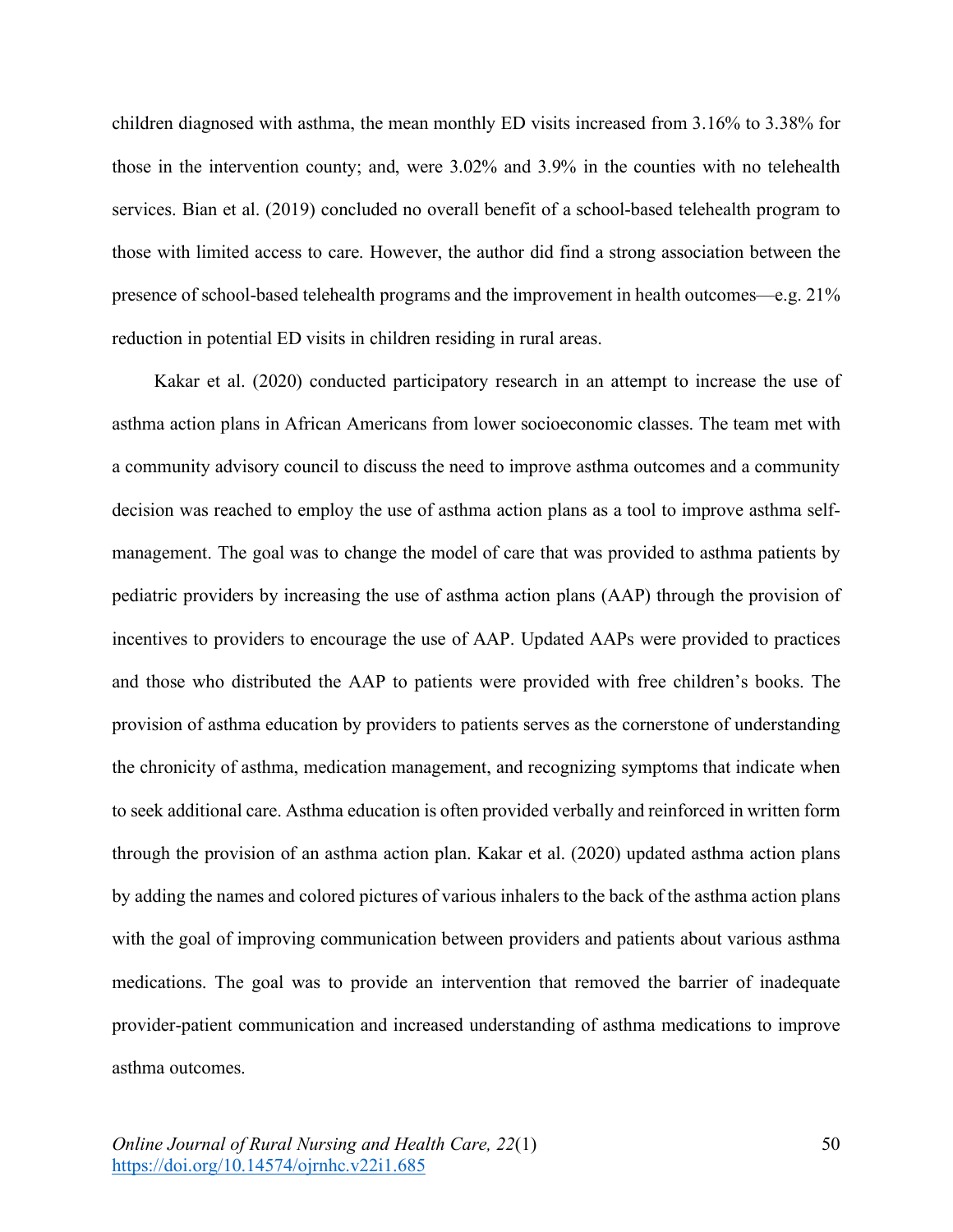children diagnosed with asthma, the mean monthly ED visits increased from 3.16% to 3.38% for those in the intervention county; and, were 3.02% and 3.9% in the counties with no telehealth services. Bian et al. (2019) concluded no overall benefit of a school-based telehealth program to those with limited access to care. However, the author did find a strong association between the presence of school-based telehealth programs and the improvement in health outcomes—e.g. 21% reduction in potential ED visits in children residing in rural areas.

Kakar et al. (2020) conducted participatory research in an attempt to increase the use of asthma action plans in African Americans from lower socioeconomic classes. The team met with a community advisory council to discuss the need to improve asthma outcomes and a community decision was reached to employ the use of asthma action plans as a tool to improve asthma selfmanagement. The goal was to change the model of care that was provided to asthma patients by pediatric providers by increasing the use of asthma action plans (AAP) through the provision of incentives to providers to encourage the use of AAP. Updated AAPs were provided to practices and those who distributed the AAP to patients were provided with free children's books. The provision of asthma education by providers to patients serves as the cornerstone of understanding the chronicity of asthma, medication management, and recognizing symptoms that indicate when to seek additional care. Asthma education is often provided verbally and reinforced in written form through the provision of an asthma action plan. Kakar et al. (2020) updated asthma action plans by adding the names and colored pictures of various inhalers to the back of the asthma action plans with the goal of improving communication between providers and patients about various asthma medications. The goal was to provide an intervention that removed the barrier of inadequate provider-patient communication and increased understanding of asthma medications to improve asthma outcomes.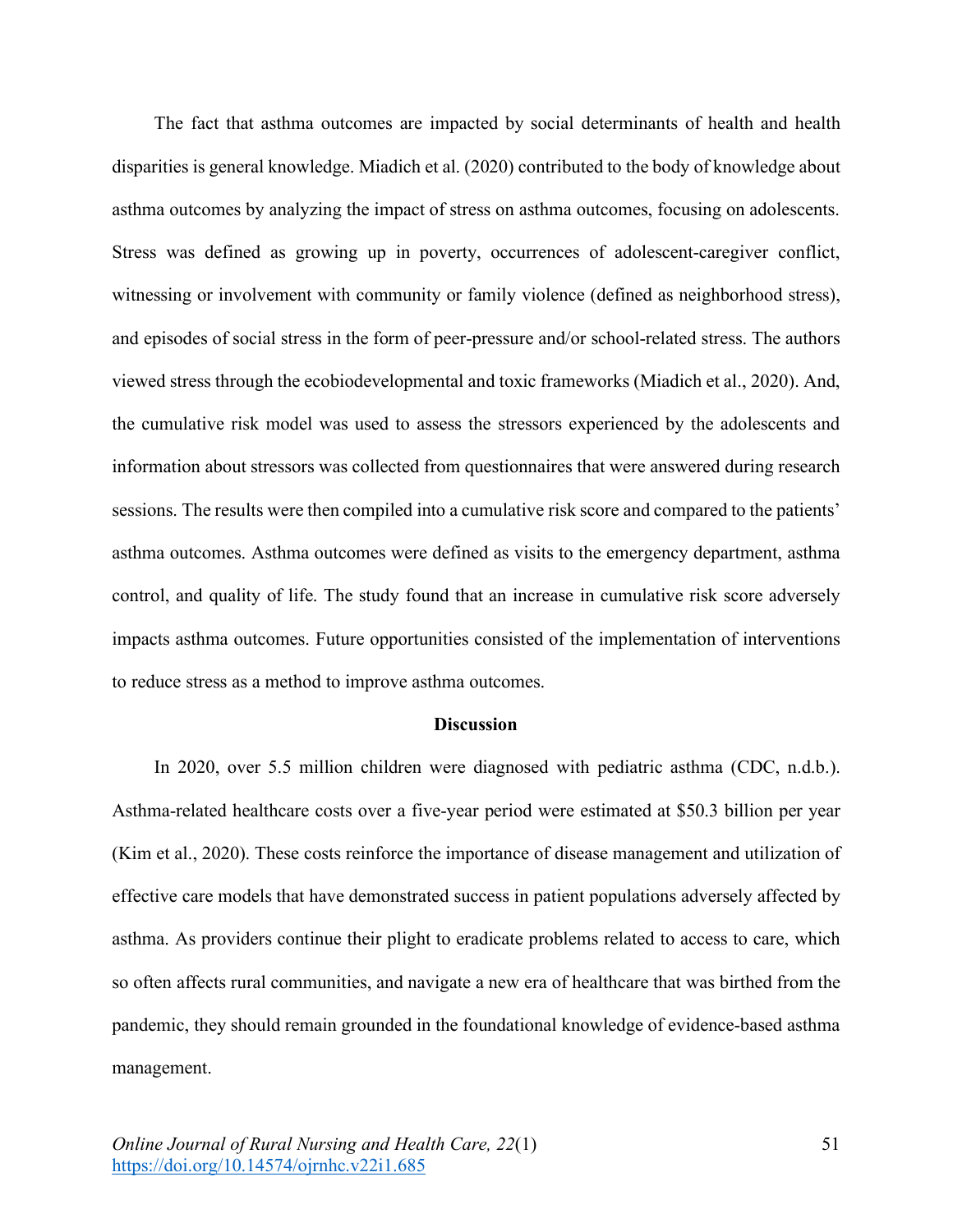The fact that asthma outcomes are impacted by social determinants of health and health disparities is general knowledge. Miadich et al. (2020) contributed to the body of knowledge about asthma outcomes by analyzing the impact of stress on asthma outcomes, focusing on adolescents. Stress was defined as growing up in poverty, occurrences of adolescent-caregiver conflict, witnessing or involvement with community or family violence (defined as neighborhood stress), and episodes of social stress in the form of peer-pressure and/or school-related stress. The authors viewed stress through the ecobiodevelopmental and toxic frameworks (Miadich et al., 2020). And, the cumulative risk model was used to assess the stressors experienced by the adolescents and information about stressors was collected from questionnaires that were answered during research sessions. The results were then compiled into a cumulative risk score and compared to the patients' asthma outcomes. Asthma outcomes were defined as visits to the emergency department, asthma control, and quality of life. The study found that an increase in cumulative risk score adversely impacts asthma outcomes. Future opportunities consisted of the implementation of interventions to reduce stress as a method to improve asthma outcomes.

## **Discussion**

In 2020, over 5.5 million children were diagnosed with pediatric asthma (CDC, n.d.b.). Asthma-related healthcare costs over a five-year period were estimated at \$50.3 billion per year (Kim et al., 2020). These costs reinforce the importance of disease management and utilization of effective care models that have demonstrated success in patient populations adversely affected by asthma. As providers continue their plight to eradicate problems related to access to care, which so often affects rural communities, and navigate a new era of healthcare that was birthed from the pandemic, they should remain grounded in the foundational knowledge of evidence-based asthma management.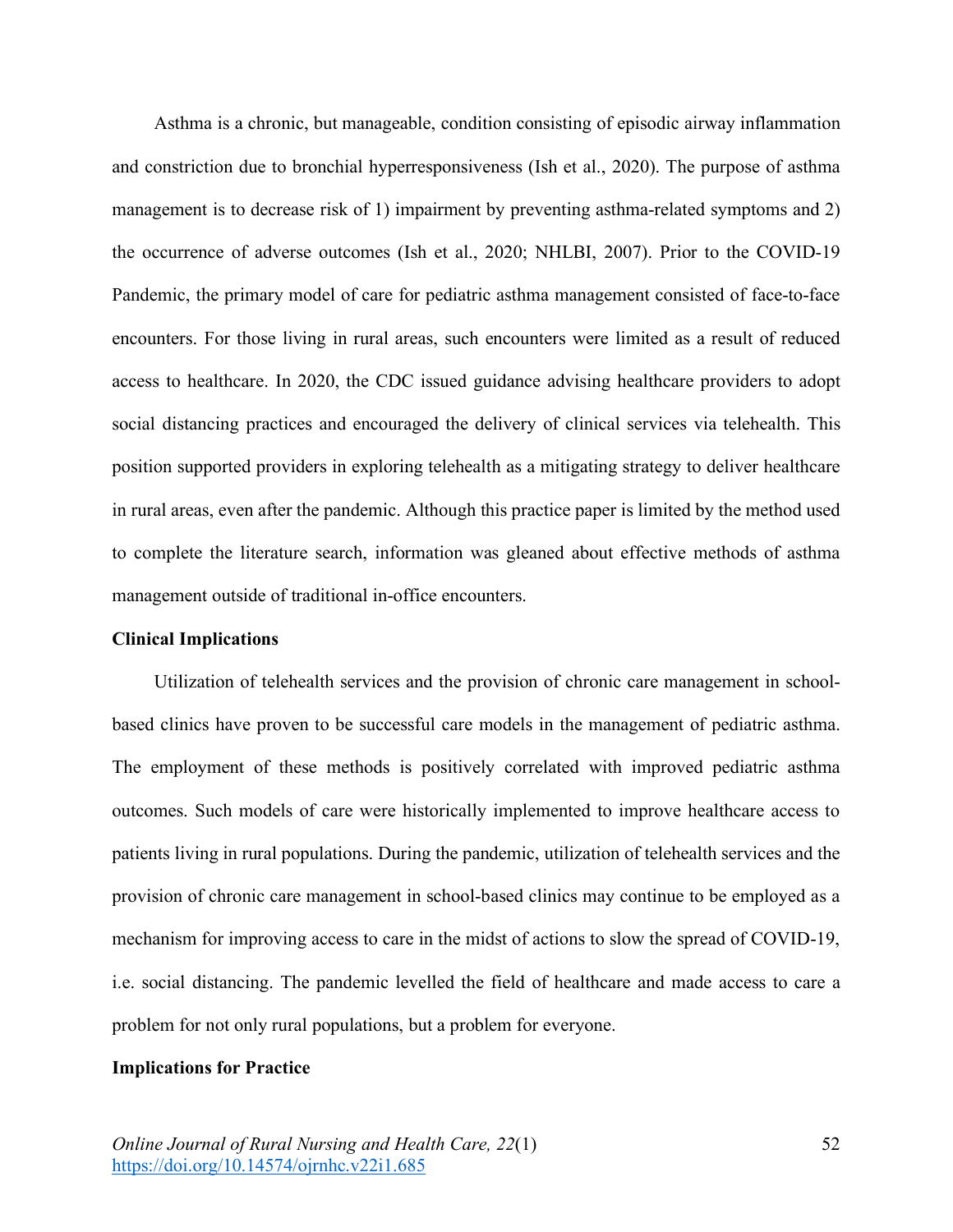Asthma is a chronic, but manageable, condition consisting of episodic airway inflammation and constriction due to bronchial hyperresponsiveness (Ish et al., 2020). The purpose of asthma management is to decrease risk of 1) impairment by preventing asthma-related symptoms and 2) the occurrence of adverse outcomes (Ish et al., 2020; NHLBI, 2007). Prior to the COVID-19 Pandemic, the primary model of care for pediatric asthma management consisted of face-to-face encounters. For those living in rural areas, such encounters were limited as a result of reduced access to healthcare. In 2020, the CDC issued guidance advising healthcare providers to adopt social distancing practices and encouraged the delivery of clinical services via telehealth. This position supported providers in exploring telehealth as a mitigating strategy to deliver healthcare in rural areas, even after the pandemic. Although this practice paper is limited by the method used to complete the literature search, information was gleaned about effective methods of asthma management outside of traditional in-office encounters.

# **Clinical Implications**

Utilization of telehealth services and the provision of chronic care management in schoolbased clinics have proven to be successful care models in the management of pediatric asthma. The employment of these methods is positively correlated with improved pediatric asthma outcomes. Such models of care were historically implemented to improve healthcare access to patients living in rural populations. During the pandemic, utilization of telehealth services and the provision of chronic care management in school-based clinics may continue to be employed as a mechanism for improving access to care in the midst of actions to slow the spread of COVID-19, i.e. social distancing. The pandemic levelled the field of healthcare and made access to care a problem for not only rural populations, but a problem for everyone.

### **Implications for Practice**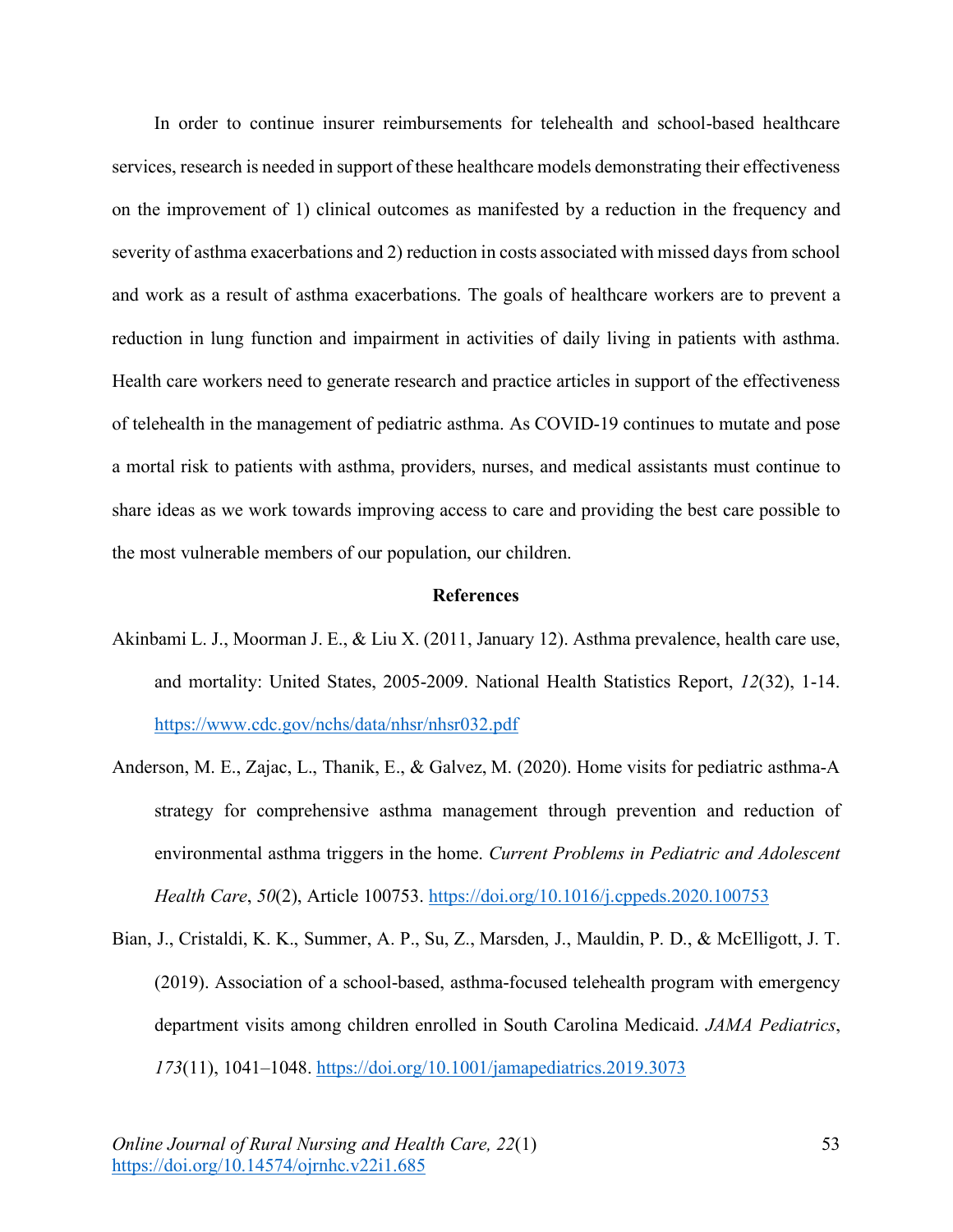In order to continue insurer reimbursements for telehealth and school-based healthcare services, research is needed in support of these healthcare models demonstrating their effectiveness on the improvement of 1) clinical outcomes as manifested by a reduction in the frequency and severity of asthma exacerbations and 2) reduction in costs associated with missed days from school and work as a result of asthma exacerbations. The goals of healthcare workers are to prevent a reduction in lung function and impairment in activities of daily living in patients with asthma. Health care workers need to generate research and practice articles in support of the effectiveness of telehealth in the management of pediatric asthma. As COVID-19 continues to mutate and pose a mortal risk to patients with asthma, providers, nurses, and medical assistants must continue to share ideas as we work towards improving access to care and providing the best care possible to the most vulnerable members of our population, our children.

# **References**

- Akinbami L. J., Moorman J. E., & Liu X. (2011, January 12). Asthma prevalence, health care use, and mortality: United States, 2005-2009. National Health Statistics Report, *12*(32), 1-14. https://www.cdc.gov/nchs/data/nhsr/nhsr032.pdf
- Anderson, M. E., Zajac, L., Thanik, E., & Galvez, M. (2020). Home visits for pediatric asthma-A strategy for comprehensive asthma management through prevention and reduction of environmental asthma triggers in the home. *Current Problems in Pediatric and Adolescent Health Care*, *50*(2), Article 100753. https://doi.org/10.1016/j.cppeds.2020.100753
- Bian, J., Cristaldi, K. K., Summer, A. P., Su, Z., Marsden, J., Mauldin, P. D., & McElligott, J. T. (2019). Association of a school-based, asthma-focused telehealth program with emergency department visits among children enrolled in South Carolina Medicaid. *JAMA Pediatrics*, *173*(11), 1041–1048. https://doi.org/10.1001/jamapediatrics.2019.3073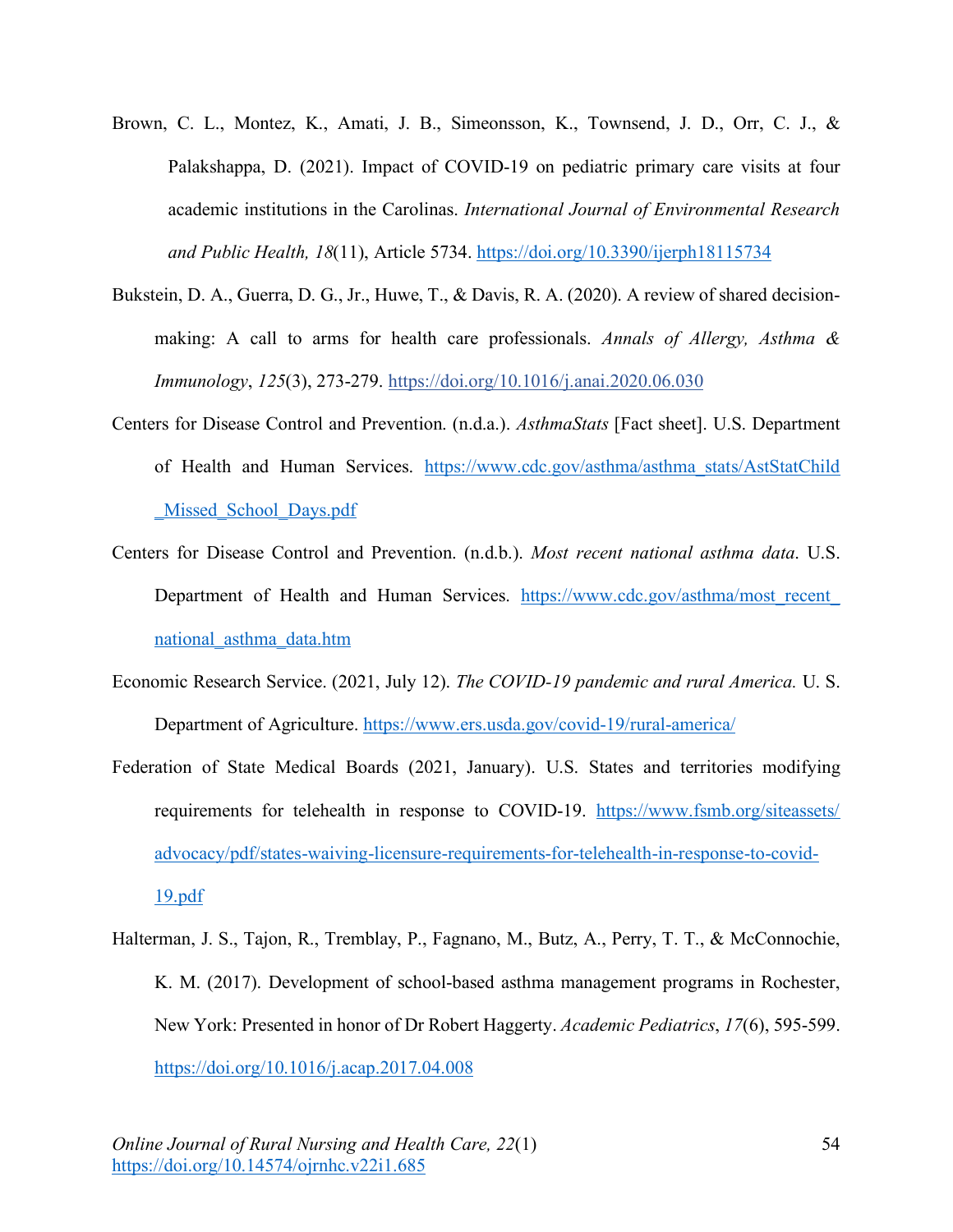- Brown, C. L., Montez, K., Amati, J. B., Simeonsson, K., Townsend, J. D., Orr, C. J., & Palakshappa, D. (2021). Impact of COVID-19 on pediatric primary care visits at four academic institutions in the Carolinas. *International Journal of Environmental Research and Public Health, 18*(11), Article 5734. https://doi.org/10.3390/ijerph18115734
- Bukstein, D. A., Guerra, D. G., Jr., Huwe, T., & Davis, R. A. (2020). A review of shared decisionmaking: A call to arms for health care professionals. *Annals of Allergy, Asthma & Immunology*, *125*(3), 273-279. https://doi.org/10.1016/j.anai.2020.06.030
- Centers for Disease Control and Prevention. (n.d.a.). *AsthmaStats* [Fact sheet]. U.S. Department of Health and Human Services. https://www.cdc.gov/asthma/asthma\_stats/AstStatChild Missed School Days.pdf
- Centers for Disease Control and Prevention. (n.d.b.). *Most recent national asthma data*. U.S. Department of Health and Human Services. https://www.cdc.gov/asthma/most\_recent\_ national\_asthma\_data.htm
- Economic Research Service. (2021, July 12). *The COVID-19 pandemic and rural America.* U. S. Department of Agriculture. https://www.ers.usda.gov/covid-19/rural-america/
- Federation of State Medical Boards (2021, January). U.S. States and territories modifying requirements for telehealth in response to COVID-19. https://www.fsmb.org/siteassets/ advocacy/pdf/states-waiving-licensure-requirements-for-telehealth-in-response-to-covid-19.pdf
- Halterman, J. S., Tajon, R., Tremblay, P., Fagnano, M., Butz, A., Perry, T. T., & McConnochie, K. M. (2017). Development of school-based asthma management programs in Rochester, New York: Presented in honor of Dr Robert Haggerty. *Academic Pediatrics*, *17*(6), 595-599. https://doi.org/10.1016/j.acap.2017.04.008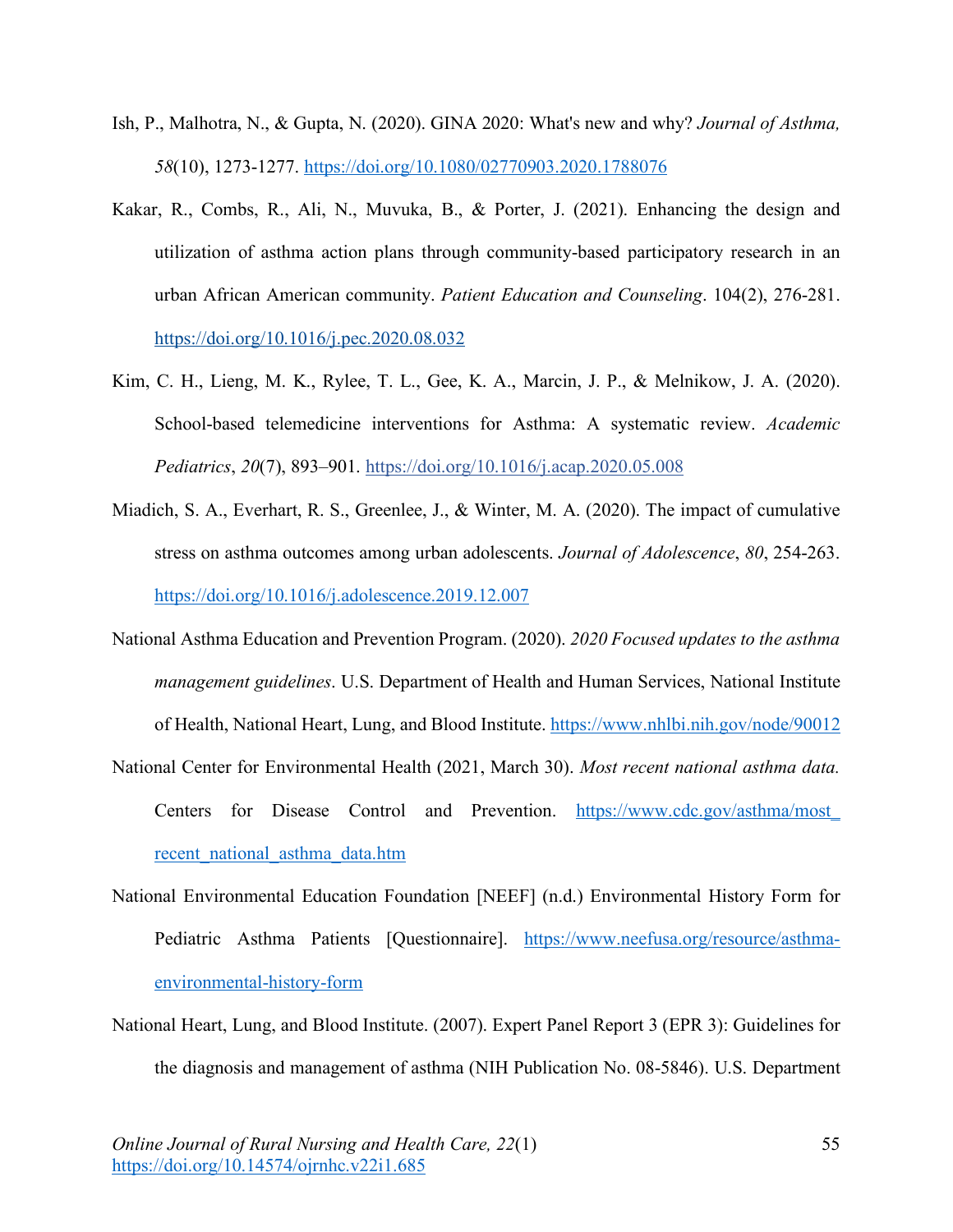- Ish, P., Malhotra, N., & Gupta, N. (2020). GINA 2020: What's new and why? *Journal of Asthma, 58*(10), 1273-1277. https://doi.org/10.1080/02770903.2020.1788076
- Kakar, R., Combs, R., Ali, N., Muvuka, B., & Porter, J. (2021). Enhancing the design and utilization of asthma action plans through community-based participatory research in an urban African American community. *Patient Education and Counseling*. 104(2), 276-281. https://doi.org/10.1016/j.pec.2020.08.032
- Kim, C. H., Lieng, M. K., Rylee, T. L., Gee, K. A., Marcin, J. P., & Melnikow, J. A. (2020). School-based telemedicine interventions for Asthma: A systematic review. *Academic Pediatrics*, *20*(7), 893–901. https://doi.org/10.1016/j.acap.2020.05.008
- Miadich, S. A., Everhart, R. S., Greenlee, J., & Winter, M. A. (2020). The impact of cumulative stress on asthma outcomes among urban adolescents. *Journal of Adolescence*, *80*, 254-263. https://doi.org/10.1016/j.adolescence.2019.12.007
- National Asthma Education and Prevention Program. (2020). *2020 Focused updates to the asthma management guidelines*. U.S. Department of Health and Human Services, National Institute of Health, National Heart, Lung, and Blood Institute. https://www.nhlbi.nih.gov/node/90012
- National Center for Environmental Health (2021, March 30). *Most recent national asthma data.*  Centers for Disease Control and Prevention. https://www.cdc.gov/asthma/most recent\_national\_asthma\_data.htm
- National Environmental Education Foundation [NEEF] (n.d.) Environmental History Form for Pediatric Asthma Patients [Questionnaire]. https://www.neefusa.org/resource/asthmaenvironmental-history-form
- National Heart, Lung, and Blood Institute. (2007). Expert Panel Report 3 (EPR 3): Guidelines for the diagnosis and management of asthma (NIH Publication No. 08-5846). U.S. Department